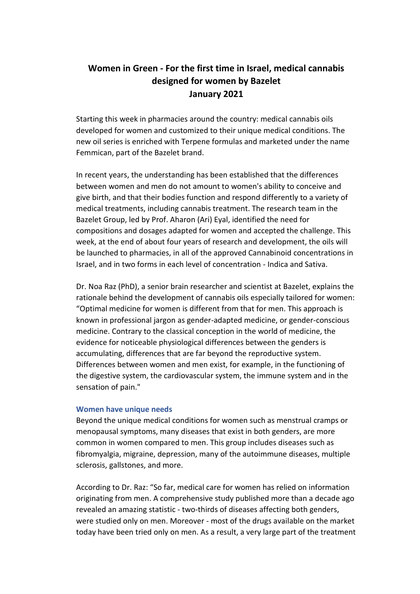# **Women in Green - For the first time in Israel, medical cannabis designed for women by Bazelet January 2021**

Starting this week in pharmacies around the country: medical cannabis oils developed for women and customized to their unique medical conditions. The new oil series is enriched with Terpene formulas and marketed under the name Femmican, part of the Bazelet brand.

In recent years, the understanding has been established that the differences between women and men do not amount to women's ability to conceive and give birth, and that their bodies function and respond differently to a variety of medical treatments, including cannabis treatment. The research team in the Bazelet Group, led by Prof. Aharon (Ari) Eyal, identified the need for compositions and dosages adapted for women and accepted the challenge. This week, at the end of about four years of research and development, the oils will be launched to pharmacies, in all of the approved Cannabinoid concentrations in Israel, and in two forms in each level of concentration - Indica and Sativa.

Dr. Noa Raz (PhD), a senior brain researcher and scientist at Bazelet, explains the rationale behind the development of cannabis oils especially tailored for women: "Optimal medicine for women is different from that for men. This approach is known in professional jargon as gender-adapted medicine, or gender-conscious medicine. Contrary to the classical conception in the world of medicine, the evidence for noticeable physiological differences between the genders is accumulating, differences that are far beyond the reproductive system. Differences between women and men exist, for example, in the functioning of the digestive system, the cardiovascular system, the immune system and in the sensation of pain."

## **Women have unique needs**

Beyond the unique medical conditions for women such as menstrual cramps or menopausal symptoms, many diseases that exist in both genders, are more common in women compared to men. This group includes diseases such as fibromyalgia, migraine, depression, many of the autoimmune diseases, multiple sclerosis, gallstones, and more.

According to Dr. Raz: "So far, medical care for women has relied on information originating from men. A comprehensive study published more than a decade ago revealed an amazing statistic - two-thirds of diseases affecting both genders, were studied only on men. Moreover - most of the drugs available on the market today have been tried only on men. As a result, a very large part of the treatment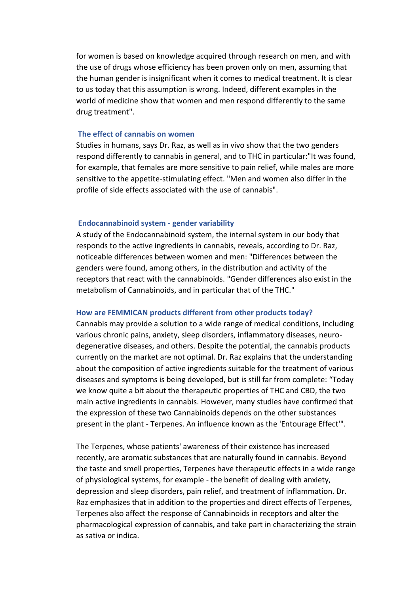for women is based on knowledge acquired through research on men, and with the use of drugs whose efficiency has been proven only on men, assuming that the human gender is insignificant when it comes to medical treatment. It is clear to us today that this assumption is wrong. Indeed, different examples in the world of medicine show that women and men respond differently to the same drug treatment".

## **The effect of cannabis on women**

Studies in humans, says Dr. Raz, as well as in vivo show that the two genders respond differently to cannabis in general, and to THC in particular:"It was found, for example, that females are more sensitive to pain relief, while males are more sensitive to the appetite-stimulating effect. "Men and women also differ in the profile of side effects associated with the use of cannabis".

#### **Endocannabinoid system - gender variability**

A study of the Endocannabinoid system, the internal system in our body that responds to the active ingredients in cannabis, reveals, according to Dr. Raz, noticeable differences between women and men: "Differences between the genders were found, among others, in the distribution and activity of the receptors that react with the cannabinoids. "Gender differences also exist in the metabolism of Cannabinoids, and in particular that of the THC."

#### **How are FEMMICAN products different from other products today?**

Cannabis may provide a solution to a wide range of medical conditions, including various chronic pains, anxiety, sleep disorders, inflammatory diseases, neurodegenerative diseases, and others. Despite the potential, the cannabis products currently on the market are not optimal. Dr. Raz explains that the understanding about the composition of active ingredients suitable for the treatment of various diseases and symptoms is being developed, but is still far from complete: "Today we know quite a bit about the therapeutic properties of THC and CBD, the two main active ingredients in cannabis. However, many studies have confirmed that the expression of these two Cannabinoids depends on the other substances present in the plant - Terpenes. An influence known as the 'Entourage Effect'".

The Terpenes, whose patients' awareness of their existence has increased recently, are aromatic substances that are naturally found in cannabis. Beyond the taste and smell properties, Terpenes have therapeutic effects in a wide range of physiological systems, for example - the benefit of dealing with anxiety, depression and sleep disorders, pain relief, and treatment of inflammation. Dr. Raz emphasizes that in addition to the properties and direct effects of Terpenes, Terpenes also affect the response of Cannabinoids in receptors and alter the pharmacological expression of cannabis, and take part in characterizing the strain as sativa or indica.